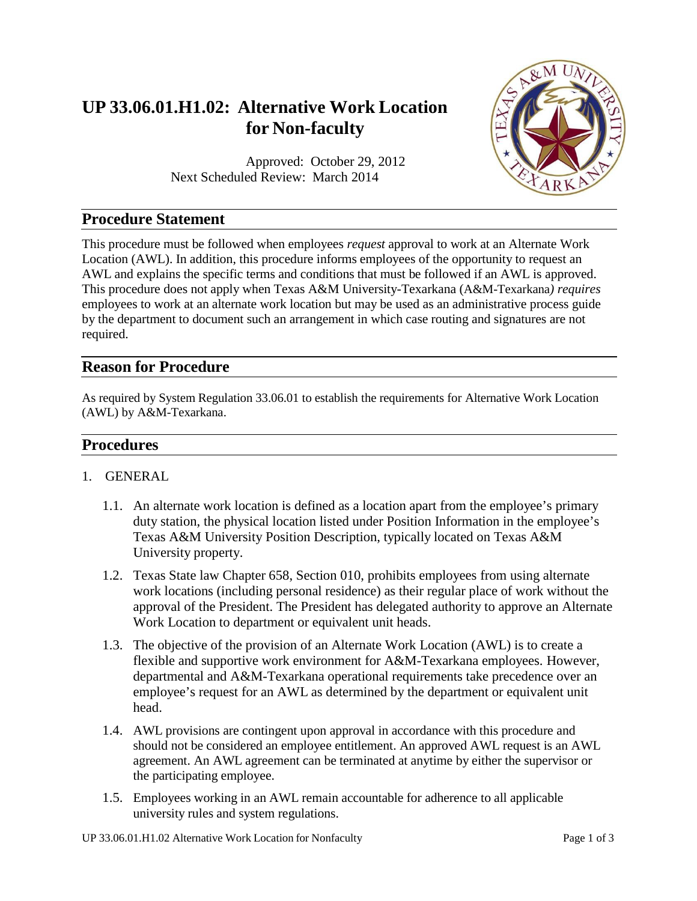# **UP 33.06.01.H1.02: Alternative Work Location for Non-faculty**

Approved: October 29, 2012 Next Scheduled Review: March 2014



## **Procedure Statement**

This procedure must be followed when employees *request* approval to work at an Alternate Work Location (AWL). In addition, this procedure informs employees of the opportunity to request an AWL and explains the specific terms and conditions that must be followed if an AWL is approved. This procedure does not apply when Texas A&M University-Texarkana (A&M-Texarkana*) requires* employees to work at an alternate work location but may be used as an administrative process guide by the department to document such an arrangement in which case routing and signatures are not required.

## **Reason for Procedure**

As required by System Regulation 33.06.01 to establish the requirements for Alternative Work Location (AWL) by A&M-Texarkana.

## **Procedures**

- 1. GENERAL
	- 1.1. An alternate work location is defined as a location apart from the employee's primary duty station, the physical location listed under Position Information in the employee's Texas A&M University Position Description, typically located on Texas A&M University property.
	- 1.2. Texas State law Chapter 658, Section 010, prohibits employees from using alternate work locations (including personal residence) as their regular place of work without the approval of the President. The President has delegated authority to approve an Alternate Work Location to department or equivalent unit heads.
	- 1.3. The objective of the provision of an Alternate Work Location (AWL) is to create a flexible and supportive work environment for A&M-Texarkana employees. However, departmental and A&M-Texarkana operational requirements take precedence over an employee's request for an AWL as determined by the department or equivalent unit head.
	- 1.4. AWL provisions are contingent upon approval in accordance with this procedure and should not be considered an employee entitlement. An approved AWL request is an AWL agreement. An AWL agreement can be terminated at anytime by either the supervisor or the participating employee.
	- 1.5. Employees working in an AWL remain accountable for adherence to all applicable university rules and system regulations.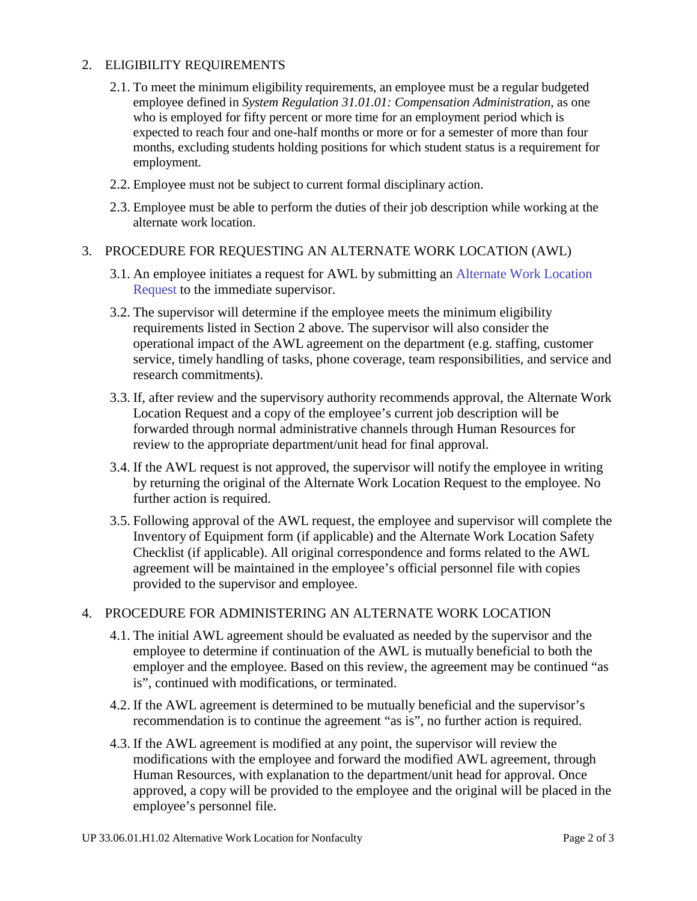#### 2. ELIGIBILITY REQUIREMENTS

- 2.1. To meet the minimum eligibility requirements, an employee must be a regular budgeted employee defined in *System Regulation 31.01.01: Compensation Administration*, as one who is employed for fifty percent or more time for an employment period which is expected to reach four and one-half months or more or for a semester of more than four months, excluding students holding positions for which student status is a requirement for employment.
- 2.2. Employee must not be subject to current formal disciplinary action.
- 2.3. Employee must be able to perform the duties of their job description while working at the alternate work location.

#### 3. PROCEDURE FOR REQUESTING AN ALTERNATE WORK LOCATION (AWL)

- 3.1. An employee initiates a request for AWL by submitting an Alternate [Work Location](https://tamut.edu/About/Administration/Human-Resources/HR%20Files/Alternate%20Work%20Location%20Request%20Form.pdf) [Request](https://tamut.edu/About/Administration/Human-Resources/HR%20Files/Alternate%20Work%20Location%20Request%20Form.pdf) to the immediate supervisor.
- 3.2. The supervisor will determine if the employee meets the minimum eligibility requirements listed in Section 2 above. The supervisor will also consider the operational impact of the AWL agreement on the department (e.g. staffing, customer service, timely handling of tasks, phone coverage, team responsibilities, and service and research commitments).
- 3.3. If, after review and the supervisory authority recommends approval, the Alternate Work Location Request and a copy of the employee's current job description will be forwarded through normal administrative channels through Human Resources for review to the appropriate department/unit head for final approval.
- 3.4. If the AWL request is not approved, the supervisor will notify the employee in writing by returning the original of the Alternate Work Location Request to the employee. No further action is required.
- 3.5. Following approval of the AWL request, the employee and supervisor will complete the Inventory of Equipment form (if applicable) and the Alternate Work Location Safety Checklist (if applicable). All original correspondence and forms related to the AWL agreement will be maintained in the employee's official personnel file with copies provided to the supervisor and employee.

#### 4. PROCEDURE FOR ADMINISTERING AN ALTERNATE WORK LOCATION

- 4.1. The initial AWL agreement should be evaluated as needed by the supervisor and the employee to determine if continuation of the AWL is mutually beneficial to both the employer and the employee. Based on this review, the agreement may be continued "as is", continued with modifications, or terminated.
- 4.2. If the AWL agreement is determined to be mutually beneficial and the supervisor's recommendation is to continue the agreement "as is", no further action is required.
- 4.3. If the AWL agreement is modified at any point, the supervisor will review the modifications with the employee and forward the modified AWL agreement, through Human Resources, with explanation to the department/unit head for approval. Once approved, a copy will be provided to the employee and the original will be placed in the employee's personnel file.